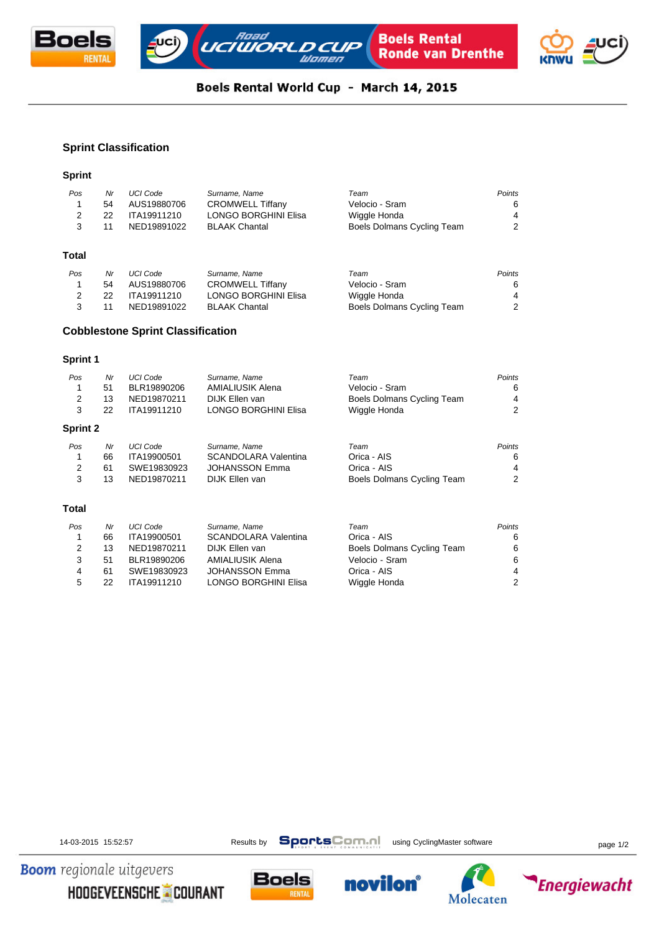



# Boels Rental World Cup - March 14, 2015

## **Sprint Classification**

### **Sprint**

| Pos   | Nr | <b>UCI Code</b> | Surname, Name               | Team                       | <b>Points</b> |
|-------|----|-----------------|-----------------------------|----------------------------|---------------|
| 1     | 54 | AUS19880706     | <b>CROMWELL Tiffany</b>     | Velocio - Sram             | 6             |
| 2     | 22 | ITA19911210     | <b>LONGO BORGHINI Elisa</b> | Wiggle Honda               | 4             |
| 3     | 11 | NED19891022     | <b>BLAAK Chantal</b>        | Boels Dolmans Cycling Team | 2             |
| Total |    |                 |                             |                            |               |
| Pos   | Nr | <b>UCI Code</b> | Surname, Name               | Team                       | Points        |
| 1     | 54 | AUS19880706     | <b>CROMWELL Tiffany</b>     | Velocio - Sram             | 6             |
| 2     | 22 | ITA19911210     | LONGO BORGHINI Elisa        | Wiggle Honda               | 4             |
| 3     | 11 | NED19891022     | <b>BLAAK Chantal</b>        | Boels Dolmans Cycling Team | 2             |

## **Cobblestone Sprint Classification**

#### **Sprint 1**

| Pos             | Nr | <b>UCI Code</b> | Surname, Name               | Team                       | Points |
|-----------------|----|-----------------|-----------------------------|----------------------------|--------|
| 1               | 51 | BLR19890206     | AMIALIUSIK Alena            | Velocio - Sram             | 6      |
| 2               | 13 | NED19870211     | DIJK Ellen van              | Boels Dolmans Cycling Team | 4      |
| 3               | 22 | ITA19911210     | <b>LONGO BORGHINI Elisa</b> | Wiggle Honda               | 2      |
| <b>Sprint 2</b> |    |                 |                             |                            |        |
| Pos             | Nr | <b>UCI Code</b> | Surname, Name               | Team                       | Points |
| 1               | 66 | ITA19900501     | <b>SCANDOLARA Valentina</b> | Orica - AIS                | 6      |
| 2               | 61 | SWE19830923     | <b>JOHANSSON Emma</b>       | Orica - AIS                | 4      |
| 3               | 13 | NED19870211     | DIJK Ellen van              | Boels Dolmans Cycling Team | 2      |
| Total           |    |                 |                             |                            |        |
| Pos             | Nr | <b>UCI Code</b> | Surname, Name               | Team                       | Points |
| 1               | 66 | ITA19900501     | <b>SCANDOLARA Valentina</b> | Orica - AIS                | 6      |
| 2               | 13 | NED19870211     | DIJK Ellen van              | Boels Dolmans Cycling Team | 6      |

3 51 BLR19890206 AMIALIUSIK Alena Velocio - Sram 6 4 61 SWE19830923 JOHANSSON Emma Orica - AIS 4

5 22 ITA19911210 LONGO BORGHINI Elisa Wiggle Honda 2

14-03-2015 15:52:57 Results by **SportsComment** using CyclingMaster software page 1/2

**Energiewacht** 

**Boom** regionale uitgevers